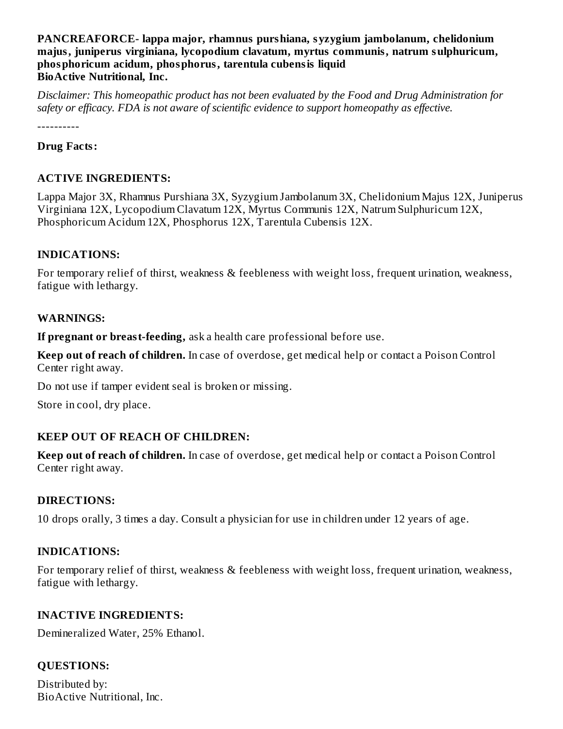# **PANCREAFORCE- lappa major, rhamnus purshiana, syzygium jambolanum, chelidonium majus, juniperus virginiana, lycopodium clavatum, myrtus communis, natrum sulphuricum, phosphoricum acidum, phosphorus, tarentula cubensis liquid BioActive Nutritional, Inc.**

*Disclaimer: This homeopathic product has not been evaluated by the Food and Drug Administration for safety or efficacy. FDA is not aware of scientific evidence to support homeopathy as effective.*

----------

# **Drug Facts:**

# **ACTIVE INGREDIENTS:**

Lappa Major 3X, Rhamnus Purshiana 3X, Syzygium Jambolanum 3X, Chelidonium Majus 12X, Juniperus Virginiana 12X, Lycopodium Clavatum 12X, Myrtus Communis 12X, Natrum Sulphuricum 12X, Phosphoricum Acidum 12X, Phosphorus 12X, Tarentula Cubensis 12X.

# **INDICATIONS:**

For temporary relief of thirst, weakness & feebleness with weight loss, frequent urination, weakness, fatigue with lethargy.

# **WARNINGS:**

**If pregnant or breast-feeding,** ask a health care professional before use.

**Keep out of reach of children.** In case of overdose, get medical help or contact a Poison Control Center right away.

Do not use if tamper evident seal is broken or missing.

Store in cool, dry place.

# **KEEP OUT OF REACH OF CHILDREN:**

**Keep out of reach of children.** In case of overdose, get medical help or contact a Poison Control Center right away.

# **DIRECTIONS:**

10 drops orally, 3 times a day. Consult a physician for use in children under 12 years of age.

# **INDICATIONS:**

For temporary relief of thirst, weakness & feebleness with weight loss, frequent urination, weakness, fatigue with lethargy.

# **INACTIVE INGREDIENTS:**

Demineralized Water, 25% Ethanol.

# **QUESTIONS:**

Distributed by: BioActive Nutritional, Inc.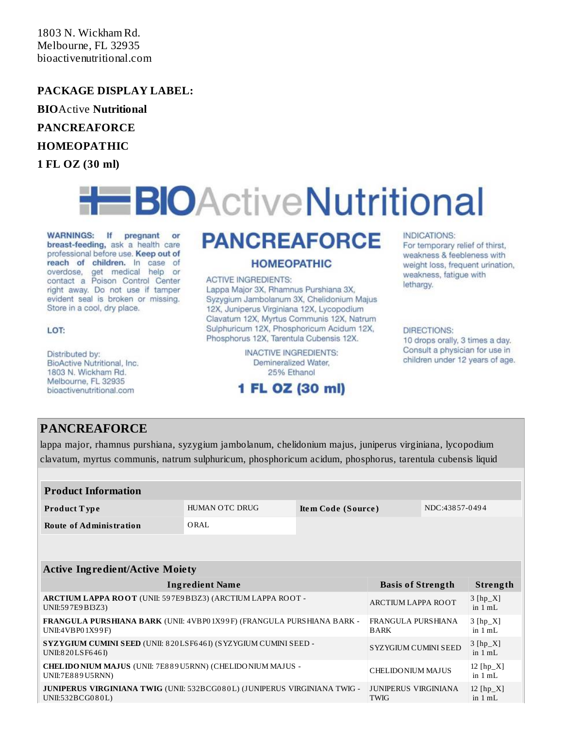1803 N. Wickham Rd. Melbourne, FL 32935 bioactivenutritional.com

## **PACKAGE DISPLAY LABEL:**

**BIO**Active **Nutritional**

**PANCREAFORCE**

### **HOMEOPATHIC**

**1 FL OZ (30 ml)**

# **EBIOActiveNutritional**

WARNINGS: If pregnant or breast-feeding, ask a health care professional before use. Keep out of reach of children. In case of overdose, get medical help or contact a Poison Control Center right away. Do not use if tamper evident seal is broken or missing. Store in a cool, dry place.

### LOT:

Distributed by: BioActive Nutritional, Inc. 1803 N. Wickham Rd. Melbourne, FL 32935 bioactivenutritional.com

# **PANCREAFORCE**

### **HOMEOPATHIC**

#### **ACTIVE INGREDIENTS:**

Lappa Major 3X, Rhamnus Purshiana 3X, Syzygium Jambolanum 3X, Chelidonium Majus 12X, Juniperus Virginiana 12X, Lycopodium Clavatum 12X, Myrtus Communis 12X, Natrum Sulphuricum 12X, Phosphoricum Acidum 12X, Phosphorus 12X, Tarentula Cubensis 12X.

> **INACTIVE INGREDIENTS:** Demineralized Water. 25% Ethanol

# 1 FL OZ (30 ml)

### INDICATIONS:

For temporary relief of thirst, weakness & feebleness with weight loss, frequent urination, weakness, fatigue with lethargy.

### DIRECTIONS:

10 drops orally, 3 times a day. Consult a physician for use in children under 12 years of age.

# **PANCREAFORCE**

lappa major, rhamnus purshiana, syzygium jambolanum, chelidonium majus, juniperus virginiana, lycopodium clavatum, myrtus communis, natrum sulphuricum, phosphoricum acidum, phosphorus, tarentula cubensis liquid

| <b>Product Information</b> |                |                    |                |  |
|----------------------------|----------------|--------------------|----------------|--|
| Product Type               | HUMAN OTC DRUG | Item Code (Source) | NDC:43857-0494 |  |
| Route of Administration    | ORAL           |                    |                |  |

### **Active Ingredient/Active Moiety**

| <b>Ingredient Name</b>                                                                        | <b>Basis of Strength</b>                 | Strength                 |
|-----------------------------------------------------------------------------------------------|------------------------------------------|--------------------------|
| ARCTIUM LAPPA ROOT (UNII: 597E9BI3Z3) (ARCTIUM LAPPA ROOT -<br>UNII:597E9BI3Z3)               | <b>ARCTIUM LAPPA ROOT</b>                | $3 [hp_X]$<br>in $1 mL$  |
| FRANGULA PURSHIANA BARK (UNII: 4VBP01X99F) (FRANGULA PURSHIANA BARK -<br>UNII:4VBP01X99F)     | <b>FRANGULA PURSHIANA</b><br><b>BARK</b> | $3 [hp_X]$<br>in $1 mL$  |
| SYZYGIUM CUMINI SEED (UNII: 820LSF646I) (SYZYGIUM CUMINI SEED -<br>UNII:820LSF646I)           | <b>SYZYGIUM CUMINI SEED</b>              | $3 [hp_X]$<br>in $1 mL$  |
| <b>CHELIDO NIUM MAJUS (UNII: 7E889U5RNN) (CHELIDO NIUM MAJUS -</b><br>UNII:7E889U5RNN)        | CHELIDONIUM MAJUS                        | 12 $[hp_X]$<br>in $1 mL$ |
| JUNIPERUS VIRGINIANA TWIG (UNII: 532BCG080L) (JUNIPERUS VIRGINIANA TWIG -<br>UNII:532BCG080L) | JUNIPERUS VIRGINIANA<br><b>TWIG</b>      | $12$ [hp_X]<br>in $1 mL$ |